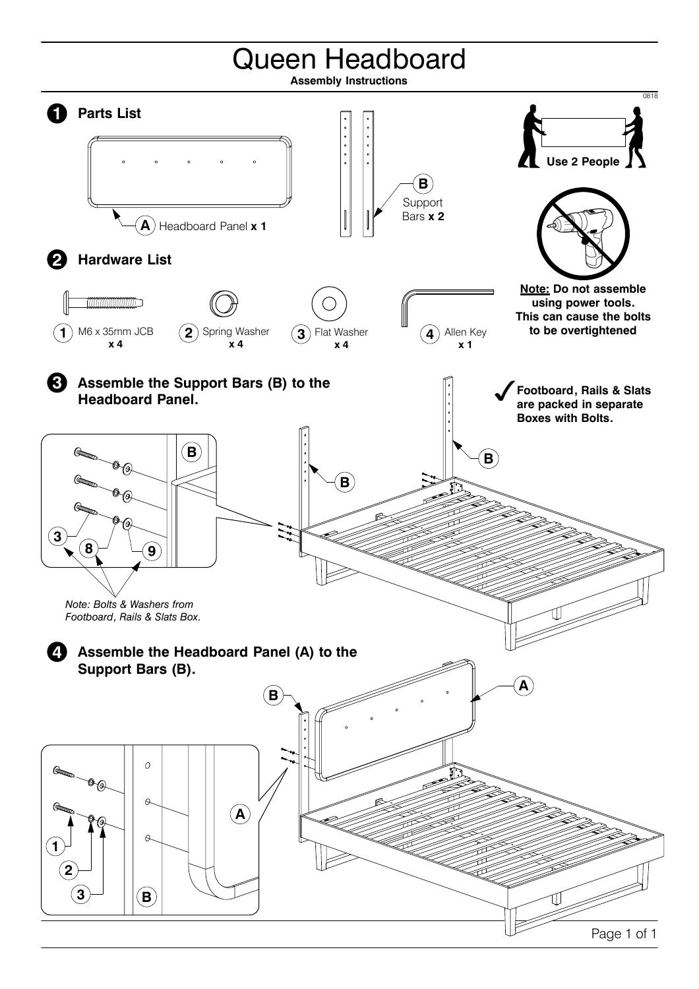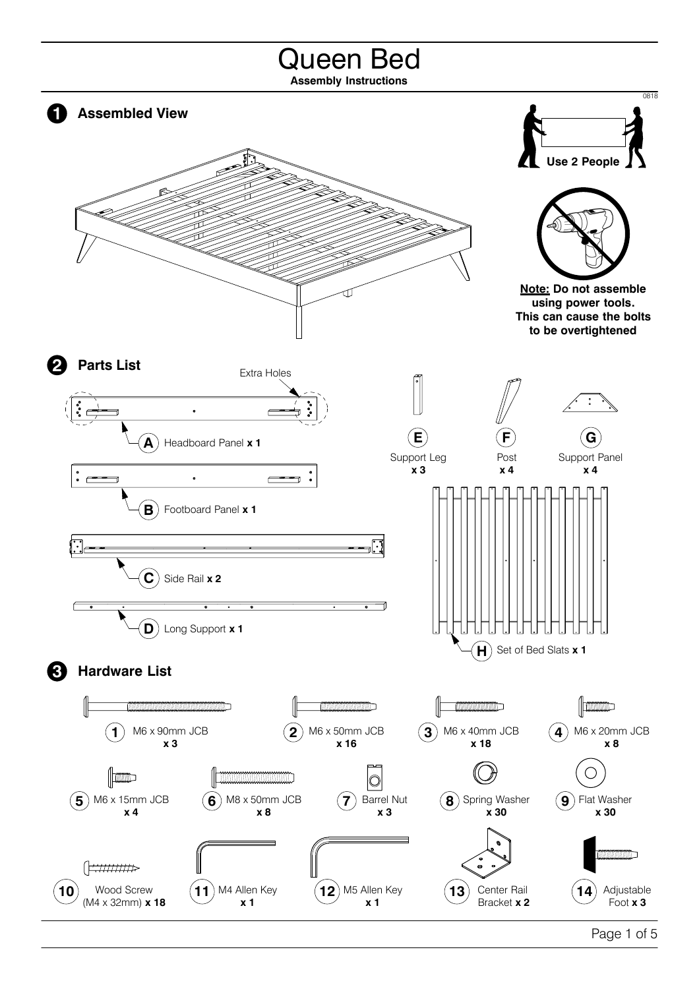## Queen Bed **Assembly Instructions** 0818 **1 Assembled View Use 2 People Note: Do not assemble using power tools. This can cause the bolts to be overtightened 2 Parts List** Extra Holes  $\ddot{\phantom{a}}$  $\overline{a}$ **E F**  $\mathbf{G}$ Headboard Panel **x 1 A** Support Leg Support Panel Post **x 3 x 4 x 4**  $\ddot{\phantom{0}}$ **B** Footboard Panel **x 1**  $\overline{\mathbf{C}}$  Side Rail **x 2 D** Long Support **x 1**  $H$  Set of Bed Slats **x 1 3 Hardware List MARKA AND THE REAL PROPERTY OF STATE OF STATE OF STATE OF STATE OF STATE OF STATE OF STATE OF STATE OF STATE O COMMON DISCUSSION CONTINUES CONTINUATION**  $\|$  mum **2** M6 x 50mm JCB  $(4)$  M6 x 20mm JCB **3** M6 x 40mm JCB **1** M6 x 90mm JCB **x 18 x 3 x 16 x 8**  $\mathbb{R}$  $\|$  =  $\|$  =  $\|$  =  $\|$  =  $\|$  =  $\|$  =  $\|$  =  $\|$  =  $\|$  =  $\|$  =  $\|$  =  $\|$  =  $\|$  =  $\|$  =  $\|$  =  $\|$  =  $\|$  =  $\|$  =  $\|$  =  $\|$  =  $\|$  =  $\|$  =  $\|$  =  $\|$  =  $\|$  =  $\|$  =  $\|$  =  $\|$  =  $\|$  =  $\|$  =  $\|$  =  $\|$ 10 **5** M6 x 15mm JCB **8** Spring Washer **6** M8 x 50mm JCB **7** Barrel Nut **9** Flat Washer **x 30 x 4 x 8 x 3 x 30**  $\left[\frac{1}{2},\frac{1}{2},\frac{1}{2},\frac{1}{2},\frac{1}{2},\frac{1}{2},\frac{1}{2},\frac{1}{2},\frac{1}{2},\frac{1}{2},\frac{1}{2},\frac{1}{2},\frac{1}{2},\frac{1}{2},\frac{1}{2},\frac{1}{2},\frac{1}{2},\frac{1}{2},\frac{1}{2},\frac{1}{2},\frac{1}{2},\frac{1}{2},\frac{1}{2},\frac{1}{2},\frac{1}{2},\frac{1}{2},\frac{1}{2},\frac{1}{2},\frac{1}{2},\frac{1}{2},\frac{1}{2},\$ **12**) M5 Allen Key **10** Wood Screw **11** M4 Allen Key **13** Center Rail **14** Adjustable (M4 x 32mm) **x 18 x 1 x 1** Bracket **x 2** Foot **x 3**

Page 1 of 5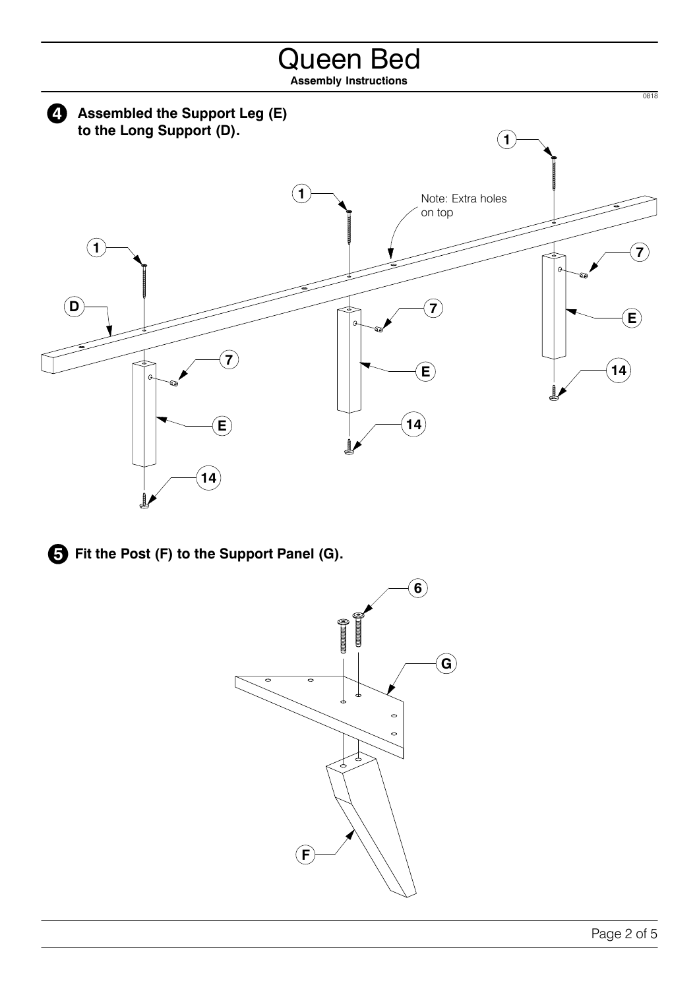



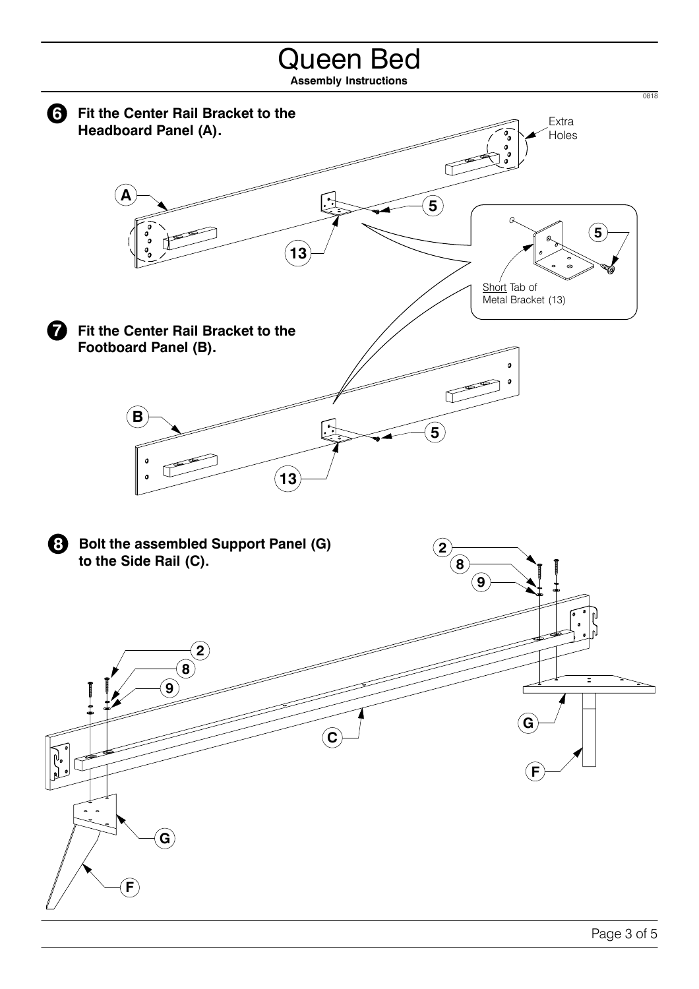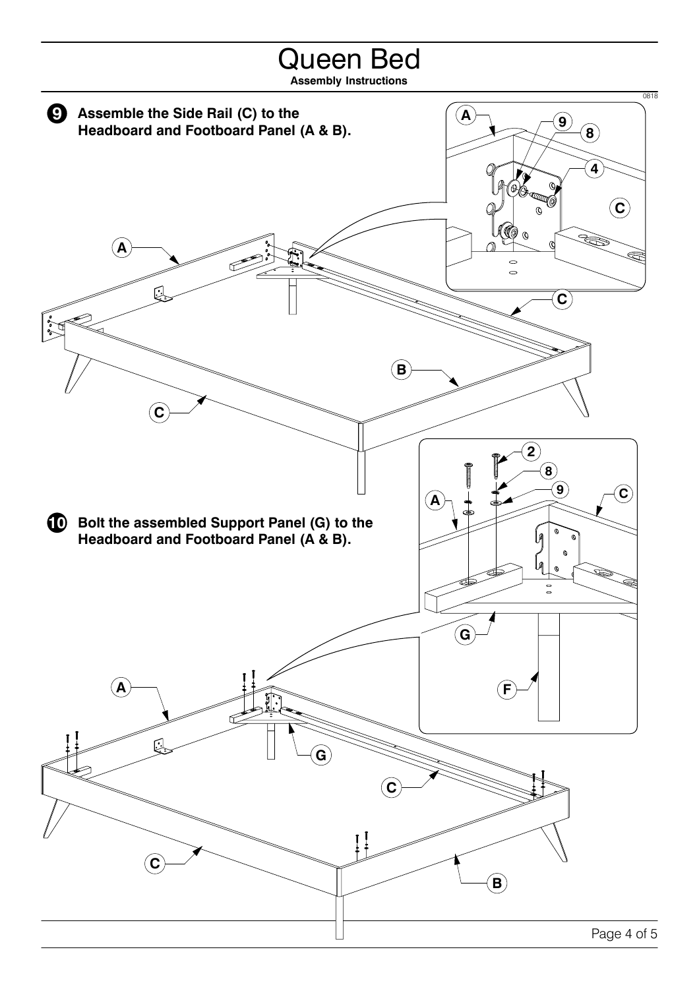